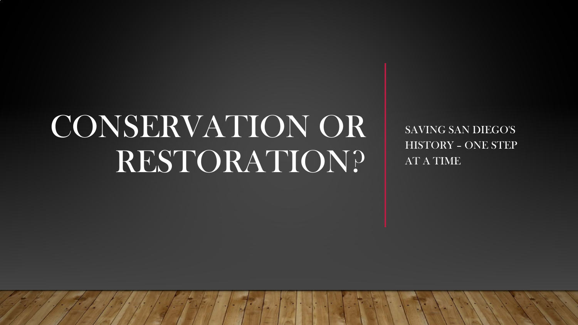# CONSERVATION OR RESTORATION?

SAVING SAN DIEGO'S HISTORY – ONE STEP AT A TIME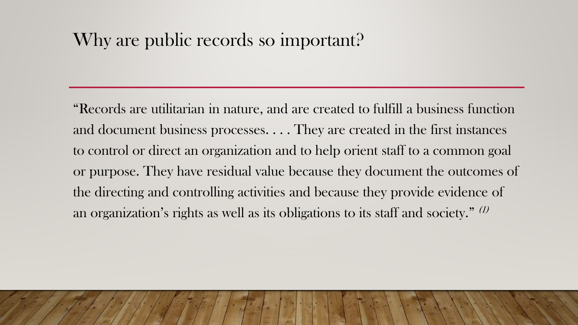### Why are public records so important?

"Records are utilitarian in nature, and are created to fulfill a business function and document business processes. . . . They are created in the first instances to control or direct an organization and to help orient staff to a common goal or purpose. They have residual value because they document the outcomes of the directing and controlling activities and because they provide evidence of an organization's rights as well as its obligations to its staff and society." (1)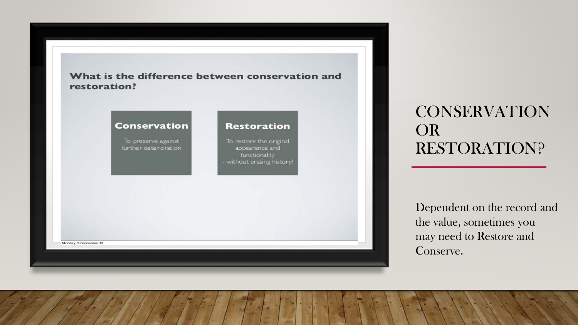

### CONSERVATION OR RESTORATION?

Dependent on the record and the value, sometimes you may need to Restore and Conserve.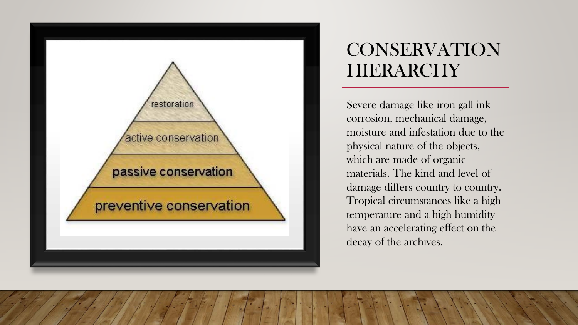

### CONSERVATION HIERARCHY

Severe damage like iron gall ink corrosion, mechanical damage, moisture and infestation due to the physical nature of the objects, which are made of organic materials. The kind and level of damage differs country to country. Tropical circumstances like a high temperature and a high humidity have an accelerating effect on the decay of the archives.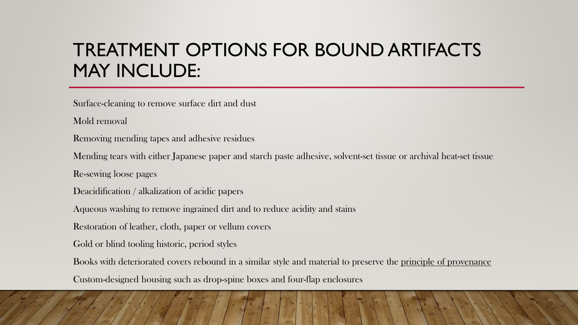### TREATMENT OPTIONS FOR BOUND ARTIFACTS MAY INCLUDE:

Surface-cleaning to remove surface dirt and dust

Mold removal

Removing mending tapes and adhesive residues

Mending tears with either Japanese paper and starch paste adhesive, solvent-set tissue or archival heat-set tissue

Re-sewing loose pages

Deacidification / alkalization of acidic papers

Aqueous washing to remove ingrained dirt and to reduce acidity and stains

Restoration of leather, cloth, paper or vellum covers

Gold or blind tooling historic, period styles

Books with deteriorated covers rebound in a similar style and material to preserve the principle of provenance

Custom-designed housing such as drop-spine boxes and four-flap enclosures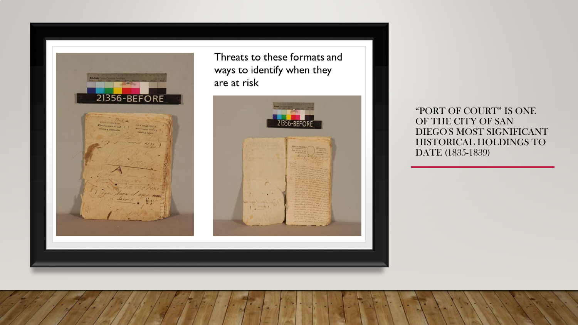

Threats to these formats and ways to identify when they are at risk

![](_page_5_Picture_2.jpeg)

"PORT OF COURT" IS ONE OF THE CITY OF SAN DIEGO'S MOST SIGNIFICANT HISTORICAL HOLDINGS TO DATE (1835-1839)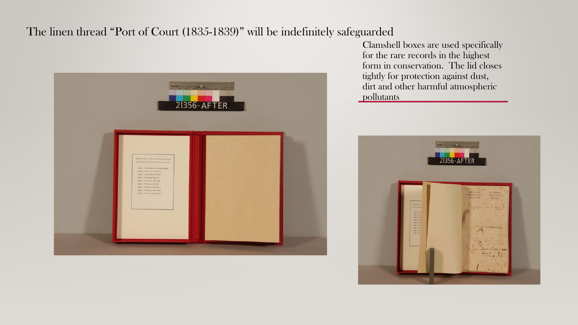#### The linen thread "Port of Court (1835-1839)" will be indefinitely safeguarded

![](_page_6_Picture_1.jpeg)

Clamshell boxes are used specifically for the rare records in the highest form in conservation. The lid closes tightly for protection against dust, dirt and other harmful atmospheric pollutants

![](_page_6_Picture_3.jpeg)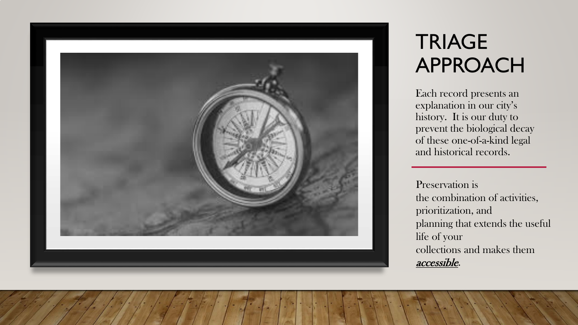![](_page_7_Picture_0.jpeg)

## **TRIAGE** APPROACH

Each record presents an explanation in our city's history. It is our duty to prevent the biological decay of these one-of-a-kind legal and historical records.

Preservation is the combination of activities, prioritization, and planning that extends the useful life of your collections and makes them accessible.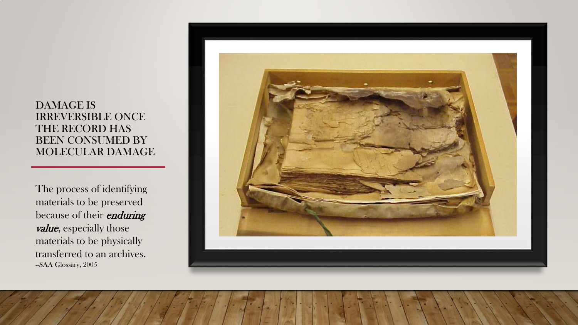#### DAMAGE IS IRREVERSIBLE ONCE THE RECORD HAS BEEN CONSUMED BY MOLECULAR DAMAGE

The process of identifying materials to be preserved because of their *enduring* value, especially those materials to be physically transferred to an archives. -SAA Glossary, 2005

![](_page_8_Picture_2.jpeg)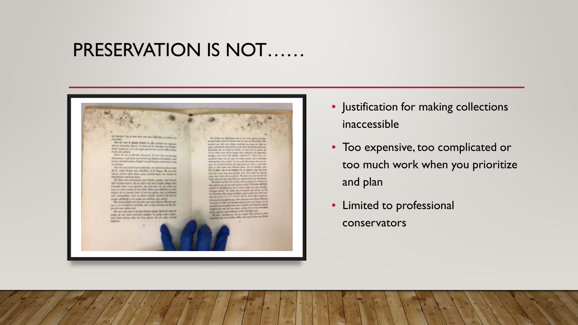### PRESERVATION IS NOT……

![](_page_9_Picture_1.jpeg)

- Justification for making collections inaccessible
- Too expensive, too complicated or too much work when you prioritize and plan
- Limited to professional conservators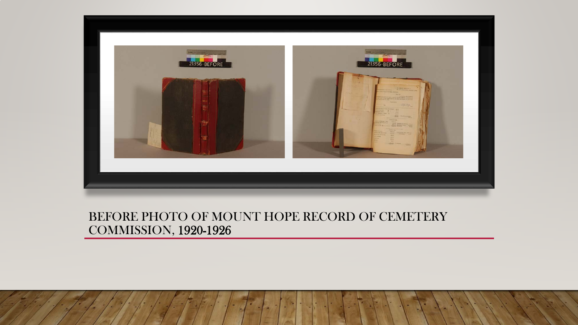![](_page_10_Picture_0.jpeg)

#### BEFORE PHOTO OF MOUNT HOPE RECORD OF CEMETERY COMMISSION, 1920-1926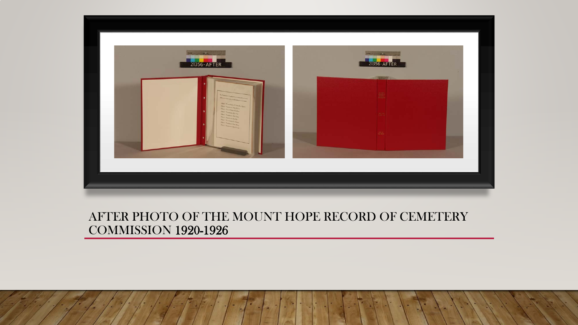![](_page_11_Picture_0.jpeg)

#### AFTER PHOTO OF THE MOUNT HOPE RECORD OF CEMETERY COMMISSION 1920-1926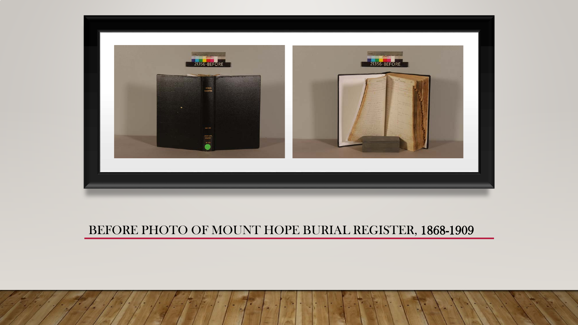![](_page_12_Picture_0.jpeg)

### BEFORE PHOTO OF MOUNT HOPE BURIAL REGISTER, 1868-1909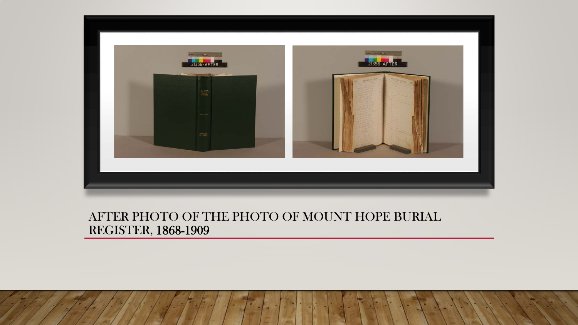![](_page_13_Picture_0.jpeg)

#### AFTER PHOTO OF THE PHOTO OF MOUNT HOPE BURIAL REGISTER, 1868-1909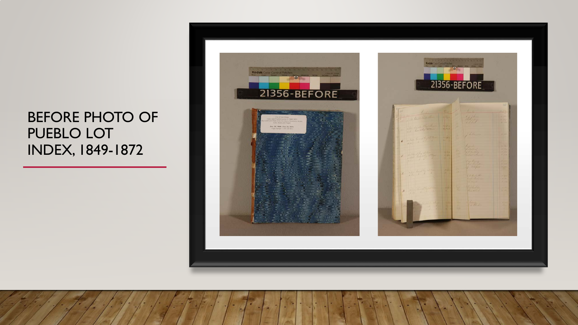### BEFORE PHOTO OF PUEBLO LOT INDEX, 1849-1872

![](_page_14_Picture_1.jpeg)